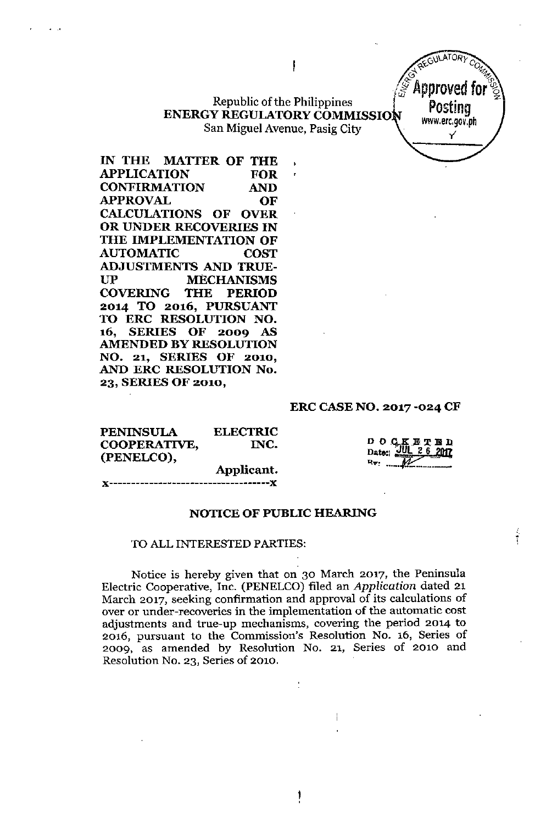## Republic of the Philippines ENERGY REGULATORY COMMISSION San Miguel Avenue, Pasig City

J

IN THE MATTER OF THE APPLICATION FOR CONFIRMATION AND APPROVAL OF CALCULATIONS OF OVER OR UNDER RECOVERIES IN THE IMPLEMENTATION OF AUTOMATIC COST ADJUSTMENTS AND TRUE-UP MECHANISMS COVERING THE PERIOD 2014 TO 2016, PURSUANT TO ERC RESOLUTION NO. 16, SERIES OF 2009 AS AMENDED BY RESOLUTION NO. 21, SERIES OF 2010, AND ERC RESOLUTION No. 23, SERIES OF 2010,

#### ERC CASE NO. 2017 -024 CF

**GULATORY COMMISSION** 

Approved for

Posting [www.erc.gov.ph](http://www.erc.gov.ph) y'

| <b>PENINSULA</b><br>COOPERATIVE, | <b>ELECTRIC</b><br>INC. | D O C K E T B D<br>Date: 2012 26 2012 |
|----------------------------------|-------------------------|---------------------------------------|
| (PENELCO),                       | Applicant.              | Rv.                                   |
|                                  |                         |                                       |

NOTICE OF PUBLIC HEARING

#### TO ALL INTERESTED PARTIES:

"-------------~----------------------,,

Notice is hereby given that on 30 March 2017, the Peninsula Electric Cooperative, Inc. (PENELCO) filed an *Application* dated 21 March 2017, seeking confirmation and approval of its calculations of over or under-recoveries **in** the implementation of the automatic cost adjustments and true-up mechanisms, covering the period 2014 to 2016, pursuant to the Commission's Resolution No. 16, Series of 2009. as amended by Resolution No. 21, Series of 2010 and Resolution No. 23, Series of 2010.

> t ,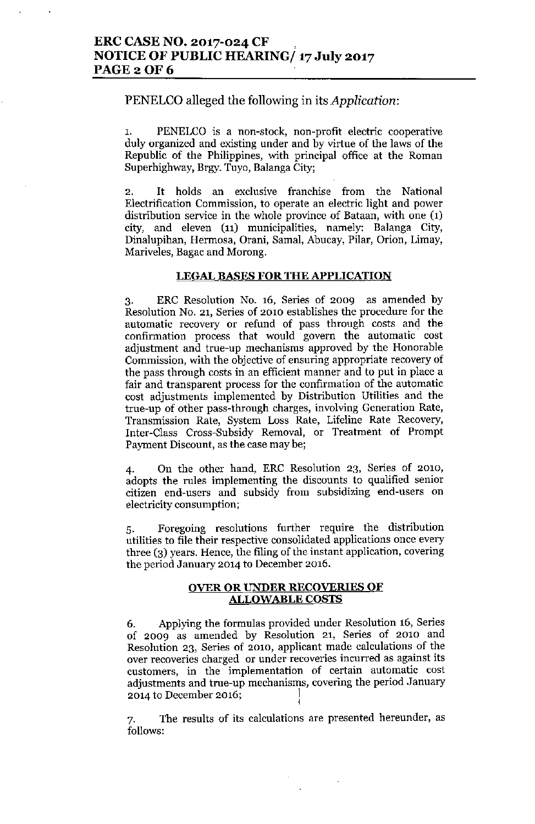# ERC CASE NO. 2017-024 CF NOTICE OF PUBLIC HEARING/ 17 July 2017 **PAGE 2 OF 6**

# PENELCO alleged the following in its *Application:*

PENELCO is a non-stock, non-profit electric cooperative duly organized and existing under and by virtue of the laws of the Republic of the Philippines, with principal office at the Roman Superhighway, Brgy. Tuyo, Balanga City;

2. It holds an exclusive franchise from the National Electrification Commission, to operate an electric light and power distribution service in the whole province of Bataan, with one (1) city, and eleven  $(11)$  municipalities, namely: Balanga City, Dinalupihan, Hermosa, Orani, SamaI, Ahucay, Pilar, Orion, Limay, Mariveles, Bagac and Morong.

### LEGAL BASES FOR THE APPLICATION

3. ERC Resolution No. 16, Series of 2009 as amended by Resolution No. 21, Series of 2010 establishes the procedure for the automatic recovery or refund of pass through costs an4 the confirmation process that would govern the automatic cost adjustment and true-up mechanisms approved by the Honorable Commission, with the objective of ensuring appropriate recovery of the pass through costs in an efficient manner and to put in place a fair and transparent process for the confirmation of the automatic cost adjustments implemented by Distribution Utilities and the true-up of other pass-through charges, involving Generation Rate, Transmission Rate, System Loss Rate, Lifeline Rate Recovery, Inter-Class Cross-Subsidy Removal, or Treatment of Prompt Payment Discount, as the case may be;

4. On the other hand, ERC Resolution 23, Series of 2010, adopts the rules implementing the discounts to qualified senior citizen end-users and subsidy from subsidizing end-users on electricity consumption;

5. Foregoing resolutions further require the distribution utilities to file their respective consolidated applications once every three (3) years. Hence, the filing of the instant application, covering the period January 2014 to December 2016.

### OVER OR UNDER RECOVERIES OF ALLOWABLE COSTS

6. Applying the formulas provided under Resolution 16, Series of 2009 as amended by Resolution 21, Series of 2010 and Resolution 23, Series of 2010, applicant made calculations of the over recoveries charged or under recoveries incurred as against its customers, in the implementation of certain automatic cost adjustments and true-up mechanisms, covering the period January 2014 to December 2016; <sup>1</sup>

7. The results of its calculations are presented hereunder, as follows: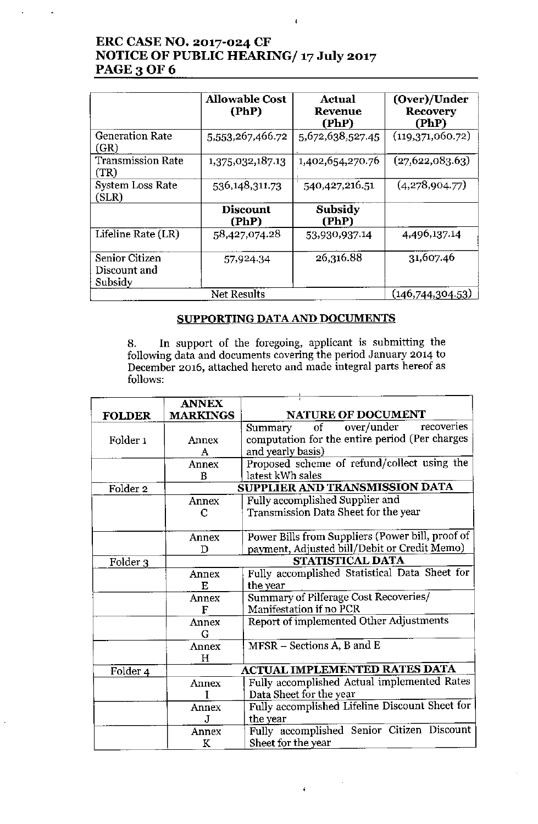# ERC CASE NO. 2017-024 CF NOTICE OF PUBLIC HEARING/ 17 July 2017 **PAGE 3 OF 6**

|                                           | <b>Allowable Cost</b><br>(PhP) | Actual<br><b>Revenue</b><br>(PhP) | (Over)/Under<br><b>Recovery</b><br>(PhP) |
|-------------------------------------------|--------------------------------|-----------------------------------|------------------------------------------|
| <b>Generation Rate</b><br>(GR)            | 5,553,267,466.72               | 5,672,638,527.45                  | (119,371,060.72)                         |
| <b>Transmission Rate</b><br>(TR)          | 1,375,032,187.13               | 1,402,654,270.76                  | (27,622,083.63)                          |
| <b>System Loss Rate</b><br>(SLR)          | 536,148,311.73                 | 540,427,216.51                    | (4,278,904.77)                           |
|                                           | <b>Discount</b><br>(PhP)       | Subsidy<br>(PhP)                  |                                          |
| Lifeline Rate (LR)                        | 58,427,074.28                  | 53,930,937.14                     | 4,496,137.14                             |
| Senior Citizen<br>Discount and<br>Subsidy | 57,924,34                      | 26,316.88                         | 31,607.46                                |
| Net Results                               |                                |                                   | (146,744,304.53)                         |

 $\overline{4}$ 

## SUPPORTING DATA AND DOCUMENTS

8. In support of the foregoing, applicant is submitting the following data and documents covering the period January 2014 to December 2016, attached hereto and made integral parts hereof as follows:

|                     | <b>ANNEX</b>    |                                                   |  |
|---------------------|-----------------|---------------------------------------------------|--|
| <b>FOLDER</b>       | <b>MARKINGS</b> | <b>NATURE OF DOCUMENT</b>                         |  |
|                     |                 | recoveries<br>over/under<br>$\sigma f$<br>Summary |  |
| Folder <sub>1</sub> | Annex           | computation for the entire period (Per charges    |  |
|                     | A               | and yearly basis)                                 |  |
|                     | Annex           | Proposed scheme of refund/collect using the       |  |
|                     | B               | latest kWh sales                                  |  |
| Folder <sub>2</sub> |                 | SUPPLIER AND TRANSMISSION DATA                    |  |
|                     | Annex           | Fully accomplished Supplier and                   |  |
|                     | C               | Transmission Data Sheet for the year              |  |
|                     |                 |                                                   |  |
|                     | Annex           | Power Bills from Suppliers (Power bill, proof of  |  |
|                     | D               | payment, Adjusted bill/Debit or Credit Memo)      |  |
| Folder 3            |                 | STATISTICAL DATA                                  |  |
|                     | Annex           | Fully accomplished Statistical Data Sheet for     |  |
|                     | E               | the year                                          |  |
|                     | Annex           | Summary of Pilferage Cost Recoveries/             |  |
|                     | F               | Manifestation if no PCR                           |  |
|                     | Annex           | Report of implemented Other Adjustments           |  |
|                     | G               |                                                   |  |
|                     | Annex           | MFSR - Sections A, B and E                        |  |
|                     | Н               |                                                   |  |
| Folder 4            |                 | <b>ACTUAL IMPLEMENTED RATES DATA</b>              |  |
|                     | Annex           | Fully accomplished Actual implemented Rates       |  |
|                     |                 | Data Sheet for the year                           |  |
|                     | Annex           | Fully accomplished Lifeline Discount Sheet for    |  |
|                     | J               | the year                                          |  |
|                     | Annex           | Fully accomplished Senior Citizen Discount        |  |
|                     | K               | Sheet for the year                                |  |

 $\bar{z}$ 

 $\ddot{\bullet}$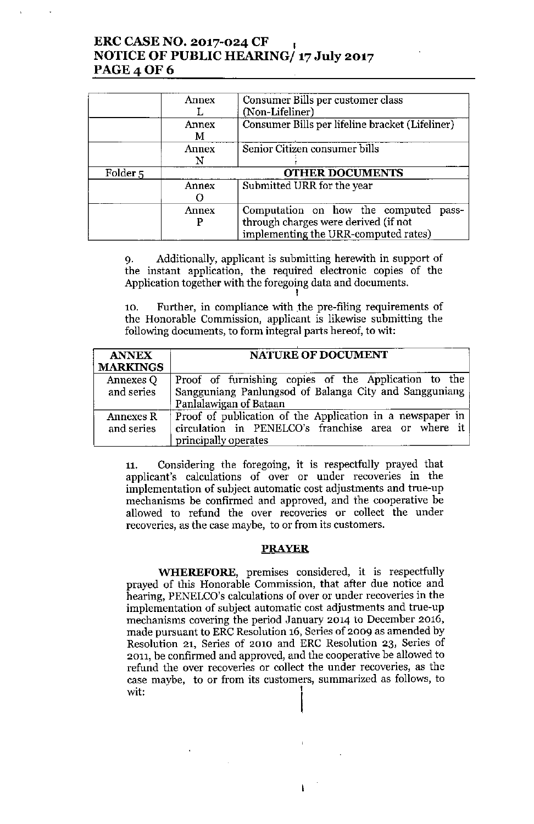# ERC CASE NO. 2017-024 CF I NOTICE OF PUBLIC HEARING/ 17 July 2017 **PAGE 4 OF 6**

|                     | Annex      | Consumer Bills per customer class<br>(Non-Lifeliner)                                                                     |  |
|---------------------|------------|--------------------------------------------------------------------------------------------------------------------------|--|
|                     | Annex<br>м | Consumer Bills per lifeline bracket (Lifeliner)                                                                          |  |
|                     | Annex      | Senior Citizen consumer bills                                                                                            |  |
| Folder <sub>5</sub> |            | <b>OTHER DOCUMENTS</b>                                                                                                   |  |
|                     | Annex      | Submitted URR for the year                                                                                               |  |
|                     | Annex      | Computation on how the computed<br>pass-<br>through charges were derived (if not<br>implementing the URR-computed rates) |  |

9, Additionally, applicant is submitting herewith in support of the instant application, the required electronic copies of the Application together with the foregoing data and documents, I

10. Further, in compliance with the pre-filing requirements of the Honorable Commission, applicant is likewise submitting the following documents, to form integral parts hereof, to wit:

| <b>ANNEX</b><br><b>MARKINGS</b> | <b>NATURE OF DOCUMENT</b>                                                                                                                |
|---------------------------------|------------------------------------------------------------------------------------------------------------------------------------------|
| Annexes Q<br>and series         | Proof of furnishing copies of the Application to the<br>Sangguniang Panlungsod of Balanga City and Sangguniang<br>Panlalawigan of Bataan |
| Annexes R<br>and series         | Proof of publication of the Application in a newspaper in<br>circulation in PENELCO's franchise area or where it<br>principally operates |

11. Considering the foregoing, it is respectfully prayed that applicant's calculations of over or under recoveries in the implementation of subject automatic cost adjustments and true-up mechanisms be confirmed and approved, and the cooperative be allowed to refund the over recoveries or collect the under recoveries, as the case maybe, to or from its customers.

#### PRAYER

**WHEREFORE,** premises considered, it is respectfully prayed of this Honorable Commission, that after due notice and hearing, PENELCO's calculations of over or under recoveries in the implementation of subject automatic cost adjustments and true-up mechanisms covering the period January 2014 to December 2016, made pursuant to ERC Resolution 16, Series of 2009 as amended by Resolution 21, Series of 2010 and ERC Resolution 23, Series of 2011, be confirmed and approved, and the cooperative be allowed to refund the over recoveries or collect the under recoveries, as the case maybe, to or from its customers, summarized as follows, to wit:  $\begin{bmatrix} \downarrow \\ \downarrow \end{bmatrix}$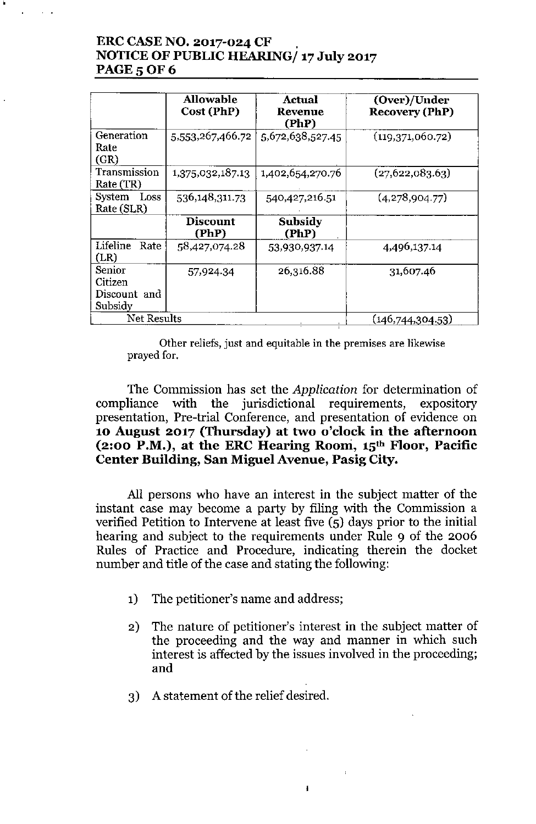# ERC CASE NO. 2017-024 CF NOTICE OF PUBLIC HEARING/ 17 July 2017 PAGE 5 OF 6

|                                              | Allowable<br>Cost (PhP)  | Actual<br>Revenue<br>(PhP) | (Over)/Under<br><b>Recovery (PhP)</b> |
|----------------------------------------------|--------------------------|----------------------------|---------------------------------------|
| Generation<br>Rate<br>(GR)                   | 5,553,267,466.72         | 5,672,638,527.45           | (119,371,060.72)                      |
| Transmission<br>Rate (TR)                    | 1,375,032,187.13         | 1,402,654,270.76           | (27,622,083.63)                       |
| System Loss<br>Rate (SLR)                    | 536,148,311.73           | 540, 427, 216. 51          | (4,278,904.77)                        |
|                                              | <b>Discount</b><br>(PhP) | Subsidy<br>(PhP)           |                                       |
| Lifeline<br>Rate<br>(LR)                     | 58,427,074.28            | 53,930,937.14              | 4,496,137.14                          |
| Senior<br>Citizen<br>Discount and<br>Subsidy | 57,924.34                | 26,316.88                  | 31,607.46                             |
| <b>Net Results</b>                           |                          |                            | (146, 744, 304.53)                    |

Other reliefs, just and equitable in the premises are likewise prayed for.

The Commission has set the *Application* for determination of compliance with the jurisdictional requirements, expository presentation, Pre-trial Conference, and presentation of evidence on 10 August 2017 (Thursday) at two o'clock in the afternoon (2:00 P.M.), at the ERC Hearing Room, 15<sup>th</sup> Floor, Pacific Center Building, San Miguel Avenue, Pasig City.

All persons who have an interest in the subject matter of the instant case may become a party by filing with the Commission a verified Petition to Intervene at least five (5) days prior to the initial hearing and subject to the requirements under Rule 9 of the 2006 Rules of Practice and Procedure, indicating therein the docket number and title of the case and stating the following:

- 1) The petitioner's name and address;
- 2) The nature of petitioner's interest in the subject matter of the proceeding and the way and manner in which such interest is affected by the issues involved in the proceeding; and

Ł

3) A statement of the relief desired.